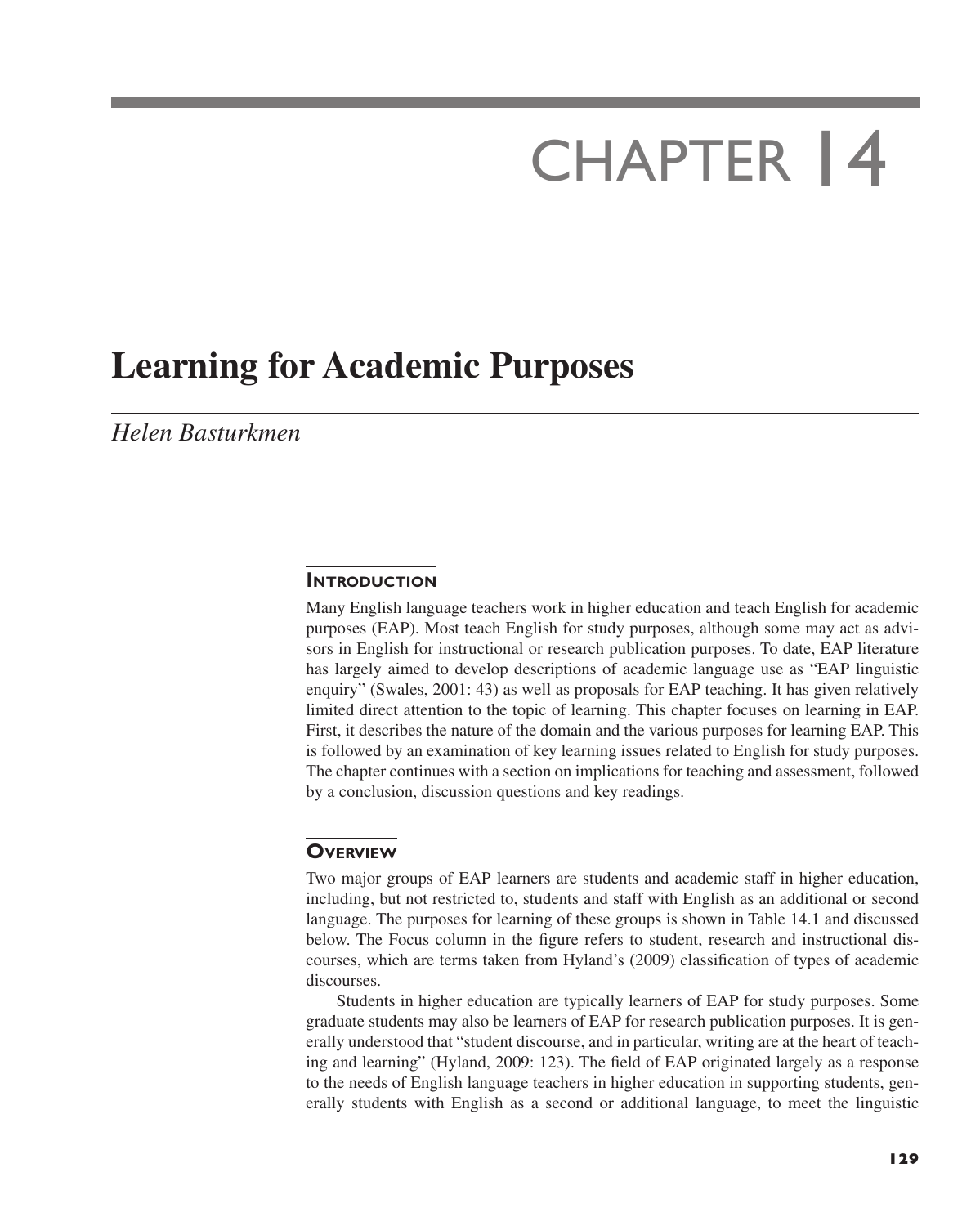# CHAPTER 14

# **Learning for Academic Purposes**

*Helen Basturkmen*

#### **INTRODUCTION**

Many English language teachers work in higher education and teach English for academic purposes (EAP). Most teach English for study purposes, although some may act as advisors in English for instructional or research publication purposes. To date, EAP literature has largely aimed to develop descriptions of academic language use as "EAP linguistic enquiry" (Swales, 2001: 43) as well as proposals for EAP teaching. It has given relatively limited direct attention to the topic of learning. This chapter focuses on learning in EAP. First, it describes the nature of the domain and the various purposes for learning EAP. This is followed by an examination of key learning issues related to English for study purposes. The chapter continues with a section on implications for teaching and assessment, followed by a conclusion, discussion questions and key readings.

### **Overview**

Two major groups of EAP learners are students and academic staff in higher education, including, but not restricted to, students and staff with English as an additional or second language. The purposes for learning of these groups is shown in Table 14.1 and discussed below. The Focus column in the figure refers to student, research and instructional discourses, which are terms taken from Hyland's (2009) classification of types of academic discourses.

Students in higher education are typically learners of EAP for study purposes. Some graduate students may also be learners of EAP for research publication purposes. It is generally understood that "student discourse, and in particular, writing are at the heart of teaching and learning" (Hyland, 2009: 123). The field of EAP originated largely as a response to the needs of English language teachers in higher education in supporting students, generally students with English as a second or additional language, to meet the linguistic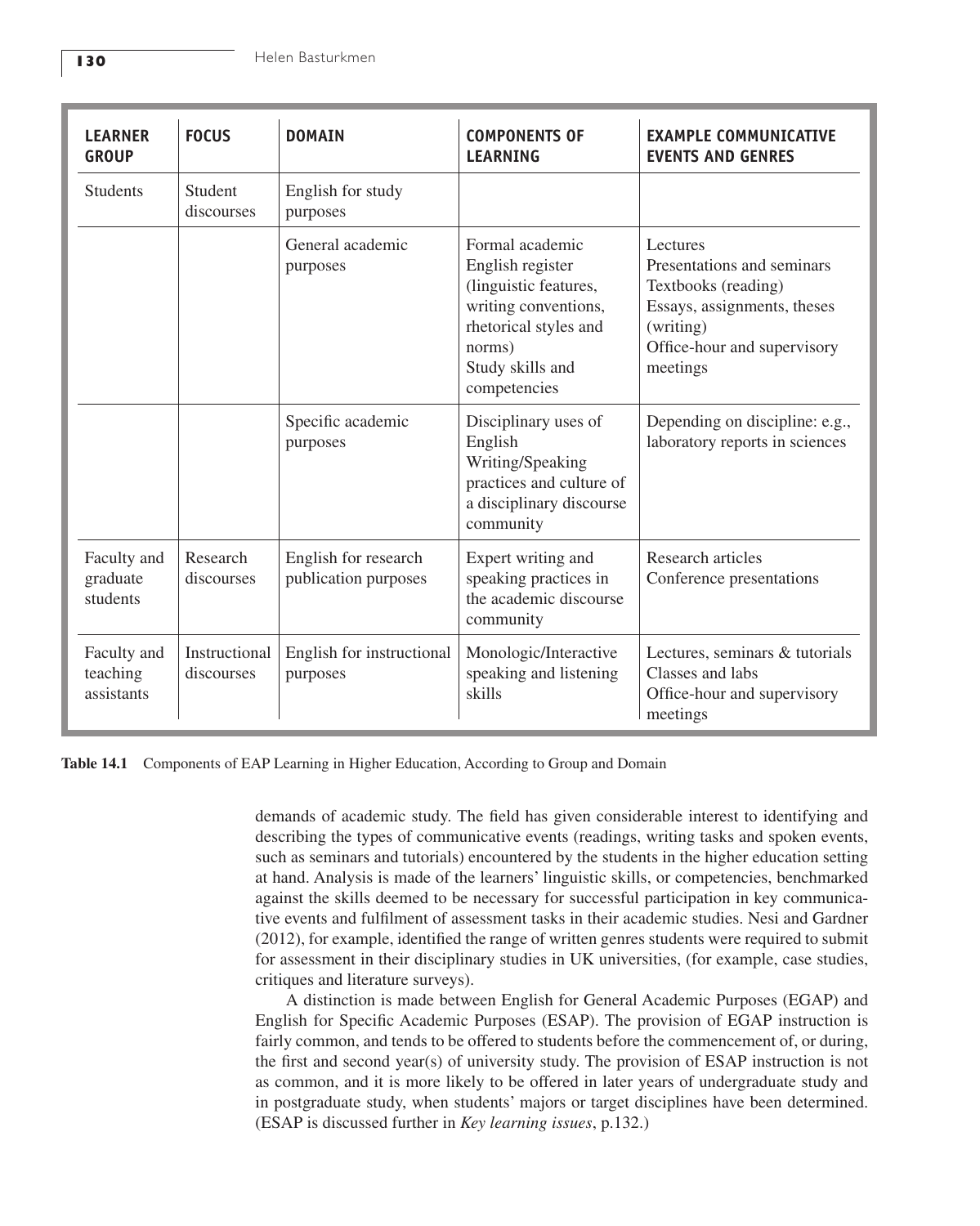| <b>LEARNER</b><br><b>GROUP</b>        | <b>FOCUS</b>                | <b>DOMAIN</b>                                | <b>COMPONENTS OF</b><br><b>LEARNING</b>                                                                                                                     | <b>EXAMPLE COMMUNICATIVE</b><br><b>EVENTS AND GENRES</b>                                                                                             |
|---------------------------------------|-----------------------------|----------------------------------------------|-------------------------------------------------------------------------------------------------------------------------------------------------------------|------------------------------------------------------------------------------------------------------------------------------------------------------|
| <b>Students</b>                       | Student<br>discourses       | English for study<br>purposes                |                                                                                                                                                             |                                                                                                                                                      |
|                                       |                             | General academic<br>purposes                 | Formal academic<br>English register<br>(linguistic features,<br>writing conventions,<br>rhetorical styles and<br>norms)<br>Study skills and<br>competencies | Lectures<br>Presentations and seminars<br>Textbooks (reading)<br>Essays, assignments, theses<br>(writing)<br>Office-hour and supervisory<br>meetings |
|                                       |                             | Specific academic<br>purposes                | Disciplinary uses of<br>English<br>Writing/Speaking<br>practices and culture of<br>a disciplinary discourse<br>community                                    | Depending on discipline: e.g.,<br>laboratory reports in sciences                                                                                     |
| Faculty and<br>graduate<br>students   | Research<br>discourses      | English for research<br>publication purposes | Expert writing and<br>speaking practices in<br>the academic discourse<br>community                                                                          | Research articles<br>Conference presentations                                                                                                        |
| Faculty and<br>teaching<br>assistants | Instructional<br>discourses | English for instructional<br>purposes        | Monologic/Interactive<br>speaking and listening<br>skills                                                                                                   | Lectures, seminars & tutorials<br>Classes and labs<br>Office-hour and supervisory<br>meetings                                                        |

**Table 14.1** Components of EAP Learning in Higher Education, According to Group and Domain

demands of academic study. The field has given considerable interest to identifying and describing the types of communicative events (readings, writing tasks and spoken events, such as seminars and tutorials) encountered by the students in the higher education setting at hand. Analysis is made of the learners' linguistic skills, or competencies, benchmarked against the skills deemed to be necessary for successful participation in key communicative events and fulfilment of assessment tasks in their academic studies. Nesi and Gardner (2012), for example, identified the range of written genres students were required to submit for assessment in their disciplinary studies in UK universities, (for example, case studies, critiques and literature surveys).

A distinction is made between English for General Academic Purposes (EGAP) and English for Specific Academic Purposes (ESAP). The provision of EGAP instruction is fairly common, and tends to be offered to students before the commencement of, or during, the first and second year(s) of university study. The provision of ESAP instruction is not as common, and it is more likely to be offered in later years of undergraduate study and in postgraduate study, when students' majors or target disciplines have been determined. (ESAP is discussed further in *Key learning issues*, p.132.)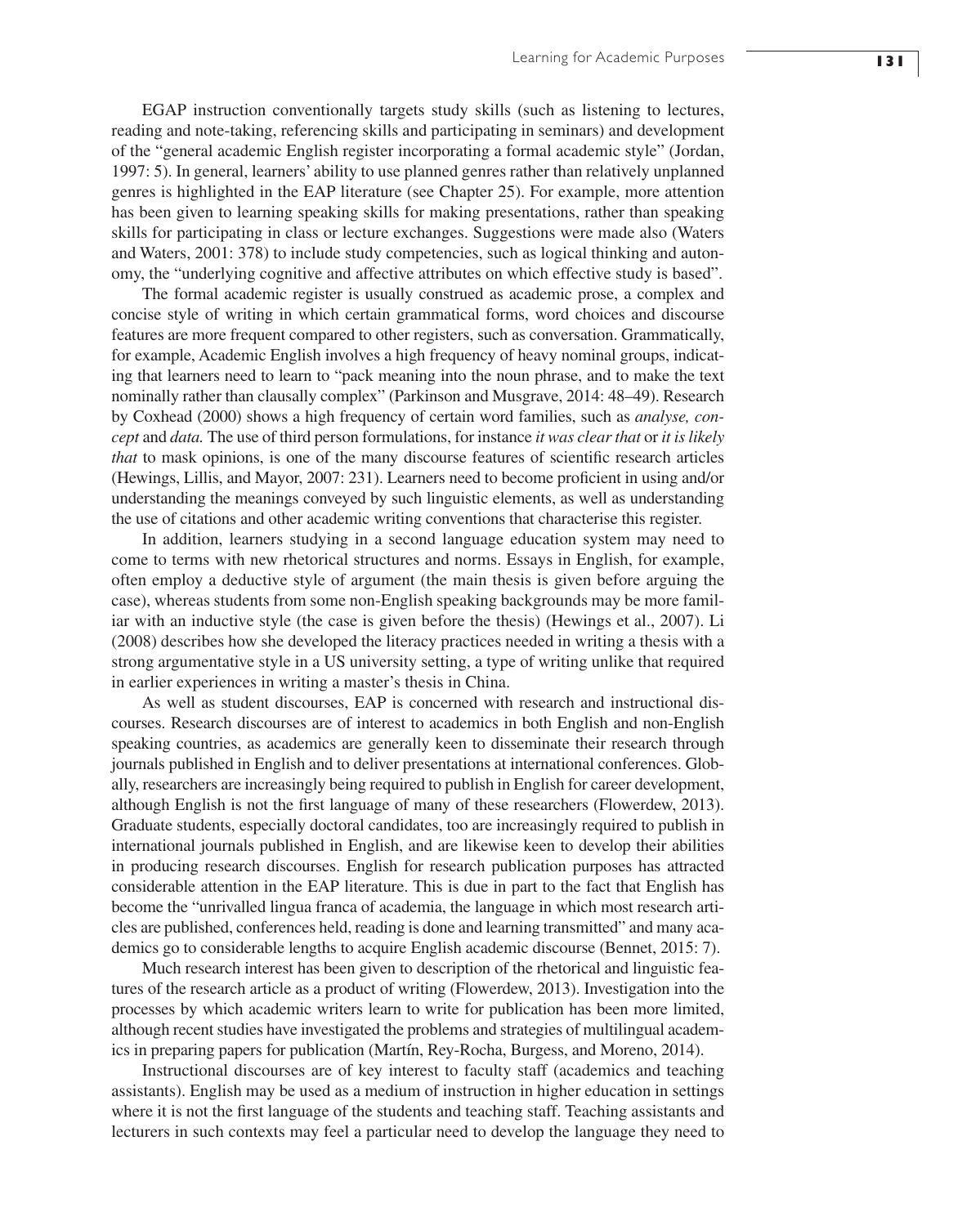EGAP instruction conventionally targets study skills (such as listening to lectures, reading and note-taking, referencing skills and participating in seminars) and development of the "general academic English register incorporating a formal academic style" (Jordan, 1997: 5). In general, learners' ability to use planned genres rather than relatively unplanned genres is highlighted in the EAP literature (see Chapter 25). For example, more attention has been given to learning speaking skills for making presentations, rather than speaking skills for participating in class or lecture exchanges. Suggestions were made also (Waters and Waters, 2001: 378) to include study competencies, such as logical thinking and autonomy, the "underlying cognitive and affective attributes on which effective study is based".

The formal academic register is usually construed as academic prose, a complex and concise style of writing in which certain grammatical forms, word choices and discourse features are more frequent compared to other registers, such as conversation. Grammatically, for example, Academic English involves a high frequency of heavy nominal groups, indicating that learners need to learn to "pack meaning into the noun phrase, and to make the text nominally rather than clausally complex" (Parkinson and Musgrave, 2014: 48–49). Research by Coxhead (2000) shows a high frequency of certain word families, such as *analyse, concept and data.* The use of third person formulations, for instance *it was clear that* or *it is likely that* to mask opinions, is one of the many discourse features of scientific research articles (Hewings, Lillis, and Mayor, 2007: 231). Learners need to become proficient in using and/or understanding the meanings conveyed by such linguistic elements, as well as understanding the use of citations and other academic writing conventions that characterise this register.

In addition, learners studying in a second language education system may need to come to terms with new rhetorical structures and norms. Essays in English, for example, often employ a deductive style of argument (the main thesis is given before arguing the case), whereas students from some non-English speaking backgrounds may be more familiar with an inductive style (the case is given before the thesis) (Hewings et al., 2007). Li (2008) describes how she developed the literacy practices needed in writing a thesis with a strong argumentative style in a US university setting, a type of writing unlike that required in earlier experiences in writing a master's thesis in China.

As well as student discourses, EAP is concerned with research and instructional discourses. Research discourses are of interest to academics in both English and non-English speaking countries, as academics are generally keen to disseminate their research through journals published in English and to deliver presentations at international conferences. Globally, researchers are increasingly being required to publish in English for career development, although English is not the first language of many of these researchers (Flowerdew, 2013). Graduate students, especially doctoral candidates, too are increasingly required to publish in international journals published in English, and are likewise keen to develop their abilities in producing research discourses. English for research publication purposes has attracted considerable attention in the EAP literature. This is due in part to the fact that English has become the "unrivalled lingua franca of academia, the language in which most research articles are published, conferences held, reading is done and learning transmitted" and many academics go to considerable lengths to acquire English academic discourse (Bennet, 2015: 7).

Much research interest has been given to description of the rhetorical and linguistic features of the research article as a product of writing (Flowerdew, 2013). Investigation into the processes by which academic writers learn to write for publication has been more limited, although recent studies have investigated the problems and strategies of multilingual academics in preparing papers for publication (Martín, Rey-Rocha, Burgess, and Moreno, 2014).

Instructional discourses are of key interest to faculty staff (academics and teaching assistants). English may be used as a medium of instruction in higher education in settings where it is not the first language of the students and teaching staff. Teaching assistants and lecturers in such contexts may feel a particular need to develop the language they need to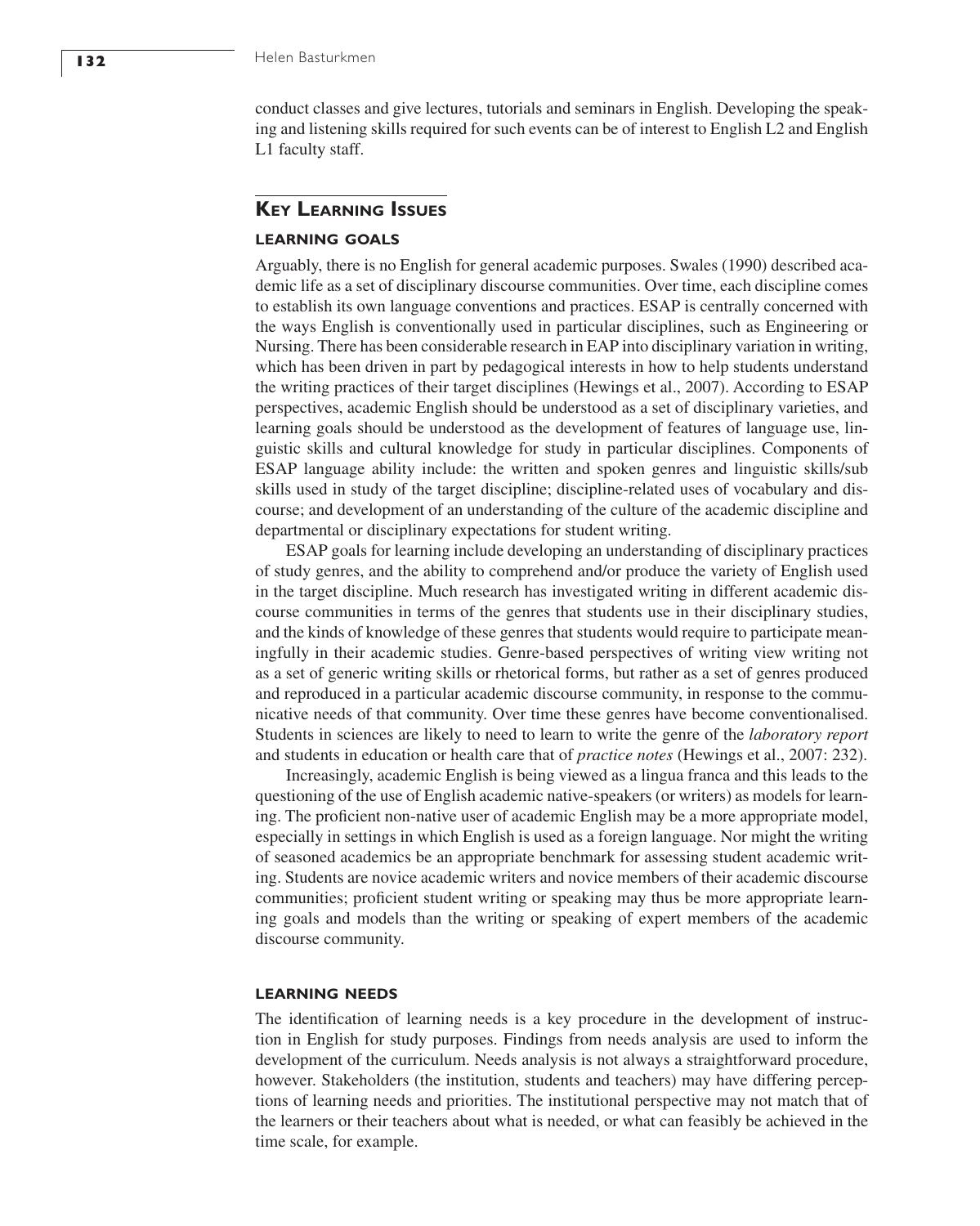conduct classes and give lectures, tutorials and seminars in English. Developing the speaking and listening skills required for such events can be of interest to English L2 and English L1 faculty staff.

#### **Key Learning Issues**

#### **learning goals**

Arguably, there is no English for general academic purposes. Swales (1990) described academic life as a set of disciplinary discourse communities. Over time, each discipline comes to establish its own language conventions and practices. ESAP is centrally concerned with the ways English is conventionally used in particular disciplines, such as Engineering or Nursing. There has been considerable research in EAP into disciplinary variation in writing, which has been driven in part by pedagogical interests in how to help students understand the writing practices of their target disciplines (Hewings et al., 2007). According to ESAP perspectives, academic English should be understood as a set of disciplinary varieties, and learning goals should be understood as the development of features of language use, linguistic skills and cultural knowledge for study in particular disciplines. Components of ESAP language ability include: the written and spoken genres and linguistic skills/sub skills used in study of the target discipline; discipline-related uses of vocabulary and discourse; and development of an understanding of the culture of the academic discipline and departmental or disciplinary expectations for student writing.

ESAP goals for learning include developing an understanding of disciplinary practices of study genres, and the ability to comprehend and/or produce the variety of English used in the target discipline. Much research has investigated writing in different academic discourse communities in terms of the genres that students use in their disciplinary studies, and the kinds of knowledge of these genres that students would require to participate meaningfully in their academic studies. Genre-based perspectives of writing view writing not as a set of generic writing skills or rhetorical forms, but rather as a set of genres produced and reproduced in a particular academic discourse community, in response to the communicative needs of that community. Over time these genres have become conventionalised. Students in sciences are likely to need to learn to write the genre of the *laboratory report* and students in education or health care that of *practice notes* (Hewings et al., 2007: 232).

Increasingly, academic English is being viewed as a lingua franca and this leads to the questioning of the use of English academic native-speakers (or writers) as models for learning. The proficient non-native user of academic English may be a more appropriate model, especially in settings in which English is used as a foreign language. Nor might the writing of seasoned academics be an appropriate benchmark for assessing student academic writing. Students are novice academic writers and novice members of their academic discourse communities; proficient student writing or speaking may thus be more appropriate learning goals and models than the writing or speaking of expert members of the academic discourse community.

#### **learning needs**

The identification of learning needs is a key procedure in the development of instruction in English for study purposes. Findings from needs analysis are used to inform the development of the curriculum. Needs analysis is not always a straightforward procedure, however. Stakeholders (the institution, students and teachers) may have differing perceptions of learning needs and priorities. The institutional perspective may not match that of the learners or their teachers about what is needed, or what can feasibly be achieved in the time scale, for example.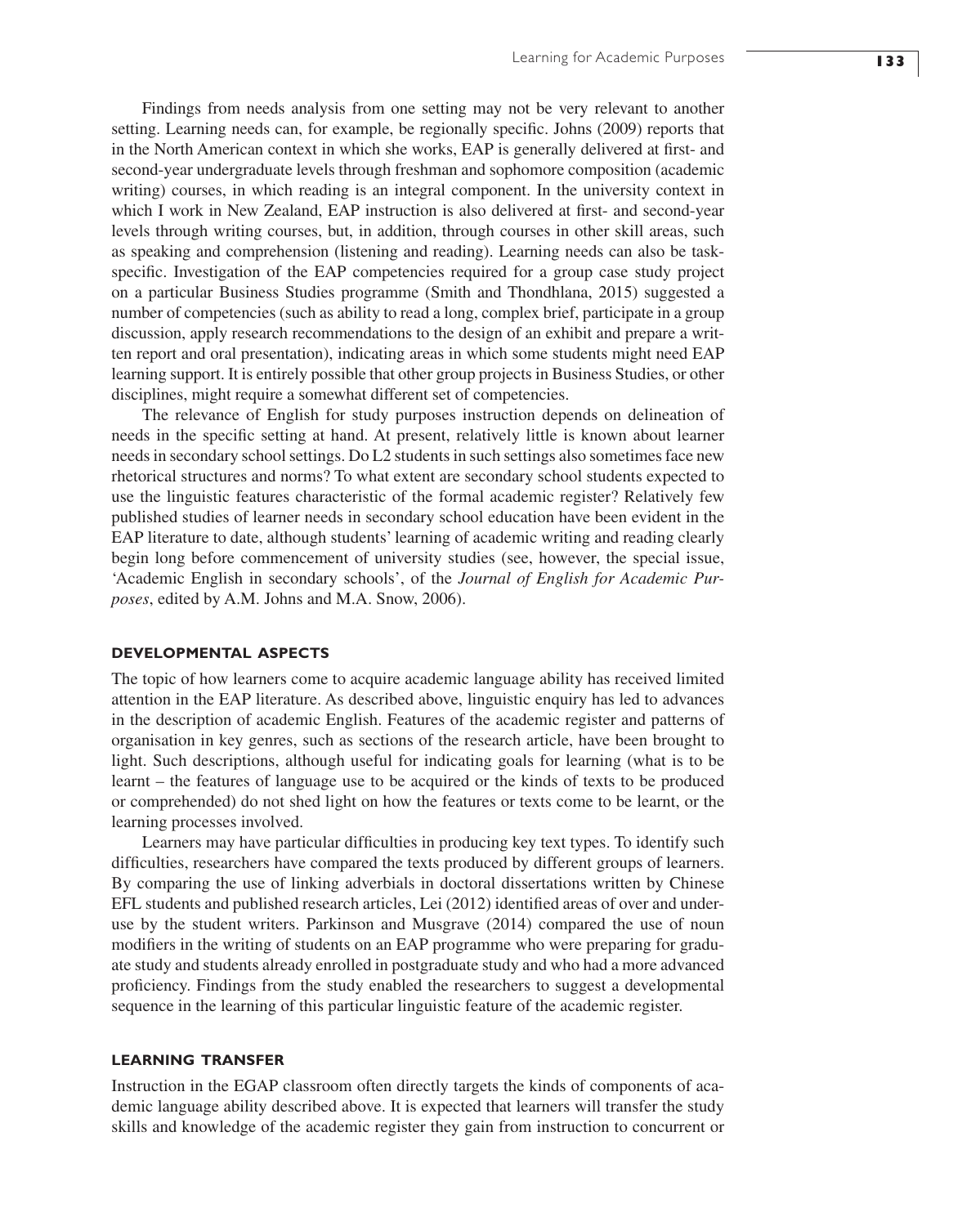Findings from needs analysis from one setting may not be very relevant to another setting. Learning needs can, for example, be regionally specific. Johns (2009) reports that in the North American context in which she works, EAP is generally delivered at first- and second-year undergraduate levels through freshman and sophomore composition (academic writing) courses, in which reading is an integral component. In the university context in which I work in New Zealand, EAP instruction is also delivered at first- and second-year levels through writing courses, but, in addition, through courses in other skill areas, such as speaking and comprehension (listening and reading). Learning needs can also be taskspecific. Investigation of the EAP competencies required for a group case study project on a particular Business Studies programme (Smith and Thondhlana, 2015) suggested a number of competencies (such as ability to read a long, complex brief, participate in a group discussion, apply research recommendations to the design of an exhibit and prepare a written report and oral presentation), indicating areas in which some students might need EAP learning support. It is entirely possible that other group projects in Business Studies, or other disciplines, might require a somewhat different set of competencies.

The relevance of English for study purposes instruction depends on delineation of needs in the specific setting at hand. At present, relatively little is known about learner needs in secondary school settings. Do L2 students in such settings also sometimes face new rhetorical structures and norms? To what extent are secondary school students expected to use the linguistic features characteristic of the formal academic register? Relatively few published studies of learner needs in secondary school education have been evident in the EAP literature to date, although students' learning of academic writing and reading clearly begin long before commencement of university studies (see, however, the special issue, 'Academic English in secondary schools', of the *Journal of English for Academic Purposes*, edited by A.M. Johns and M.A. Snow, 2006).

#### **developmental aspects**

The topic of how learners come to acquire academic language ability has received limited attention in the EAP literature. As described above, linguistic enquiry has led to advances in the description of academic English. Features of the academic register and patterns of organisation in key genres, such as sections of the research article, have been brought to light. Such descriptions, although useful for indicating goals for learning (what is to be learnt – the features of language use to be acquired or the kinds of texts to be produced or comprehended) do not shed light on how the features or texts come to be learnt, or the learning processes involved.

Learners may have particular difficulties in producing key text types. To identify such difficulties, researchers have compared the texts produced by different groups of learners. By comparing the use of linking adverbials in doctoral dissertations written by Chinese EFL students and published research articles, Lei (2012) identified areas of over and underuse by the student writers. Parkinson and Musgrave (2014) compared the use of noun modifiers in the writing of students on an EAP programme who were preparing for graduate study and students already enrolled in postgraduate study and who had a more advanced proficiency. Findings from the study enabled the researchers to suggest a developmental sequence in the learning of this particular linguistic feature of the academic register.

#### **learning transfer**

Instruction in the EGAP classroom often directly targets the kinds of components of academic language ability described above. It is expected that learners will transfer the study skills and knowledge of the academic register they gain from instruction to concurrent or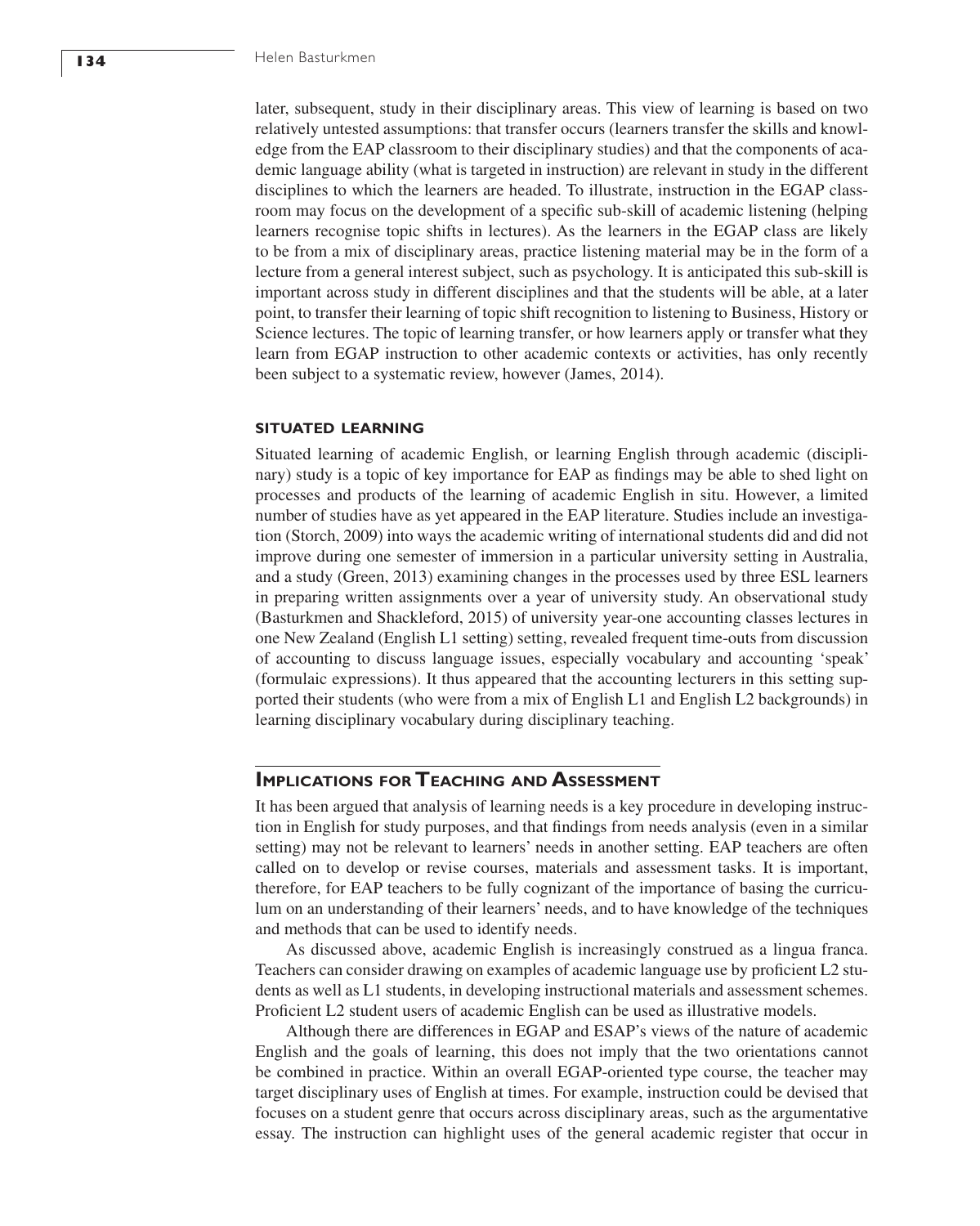later, subsequent, study in their disciplinary areas. This view of learning is based on two relatively untested assumptions: that transfer occurs (learners transfer the skills and knowledge from the EAP classroom to their disciplinary studies) and that the components of academic language ability (what is targeted in instruction) are relevant in study in the different disciplines to which the learners are headed. To illustrate, instruction in the EGAP classroom may focus on the development of a specific sub-skill of academic listening (helping learners recognise topic shifts in lectures). As the learners in the EGAP class are likely to be from a mix of disciplinary areas, practice listening material may be in the form of a lecture from a general interest subject, such as psychology. It is anticipated this sub-skill is important across study in different disciplines and that the students will be able, at a later point, to transfer their learning of topic shift recognition to listening to Business, History or Science lectures. The topic of learning transfer, or how learners apply or transfer what they learn from EGAP instruction to other academic contexts or activities, has only recently been subject to a systematic review, however (James, 2014).

#### **situated learning**

Situated learning of academic English, or learning English through academic (disciplinary) study is a topic of key importance for EAP as findings may be able to shed light on processes and products of the learning of academic English in situ. However, a limited number of studies have as yet appeared in the EAP literature. Studies include an investigation (Storch, 2009) into ways the academic writing of international students did and did not improve during one semester of immersion in a particular university setting in Australia, and a study (Green, 2013) examining changes in the processes used by three ESL learners in preparing written assignments over a year of university study. An observational study (Basturkmen and Shackleford, 2015) of university year-one accounting classes lectures in one New Zealand (English L1 setting) setting, revealed frequent time-outs from discussion of accounting to discuss language issues, especially vocabulary and accounting 'speak' (formulaic expressions). It thus appeared that the accounting lecturers in this setting supported their students (who were from a mix of English L1 and English L2 backgrounds) in learning disciplinary vocabulary during disciplinary teaching.

#### **Implications for Teaching and Assessment**

It has been argued that analysis of learning needs is a key procedure in developing instruction in English for study purposes, and that findings from needs analysis (even in a similar setting) may not be relevant to learners' needs in another setting. EAP teachers are often called on to develop or revise courses, materials and assessment tasks. It is important, therefore, for EAP teachers to be fully cognizant of the importance of basing the curriculum on an understanding of their learners' needs, and to have knowledge of the techniques and methods that can be used to identify needs.

As discussed above, academic English is increasingly construed as a lingua franca. Teachers can consider drawing on examples of academic language use by proficient L2 students as well as L1 students, in developing instructional materials and assessment schemes. Proficient L2 student users of academic English can be used as illustrative models.

Although there are differences in EGAP and ESAP's views of the nature of academic English and the goals of learning, this does not imply that the two orientations cannot be combined in practice. Within an overall EGAP-oriented type course, the teacher may target disciplinary uses of English at times. For example, instruction could be devised that focuses on a student genre that occurs across disciplinary areas, such as the argumentative essay. The instruction can highlight uses of the general academic register that occur in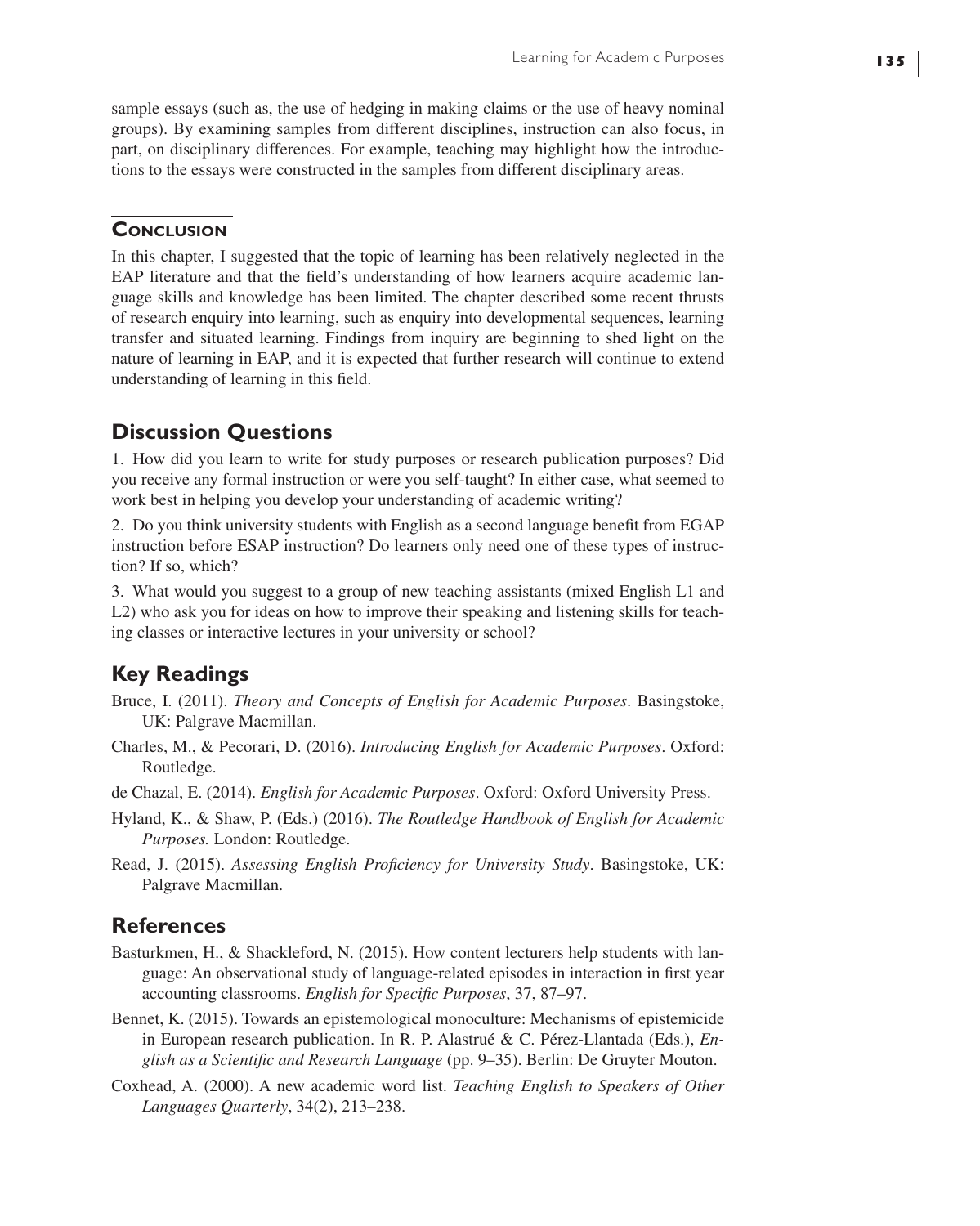sample essays (such as, the use of hedging in making claims or the use of heavy nominal groups). By examining samples from different disciplines, instruction can also focus, in part, on disciplinary differences. For example, teaching may highlight how the introductions to the essays were constructed in the samples from different disciplinary areas.

# **CONCLUSION**

In this chapter, I suggested that the topic of learning has been relatively neglected in the EAP literature and that the field's understanding of how learners acquire academic language skills and knowledge has been limited. The chapter described some recent thrusts of research enquiry into learning, such as enquiry into developmental sequences, learning transfer and situated learning. Findings from inquiry are beginning to shed light on the nature of learning in EAP, and it is expected that further research will continue to extend understanding of learning in this field.

# **Discussion Questions**

1. How did you learn to write for study purposes or research publication purposes? Did you receive any formal instruction or were you self-taught? In either case, what seemed to work best in helping you develop your understanding of academic writing?

2. Do you think university students with English as a second language benefit from EGAP instruction before ESAP instruction? Do learners only need one of these types of instruction? If so, which?

3. What would you suggest to a group of new teaching assistants (mixed English L1 and L2) who ask you for ideas on how to improve their speaking and listening skills for teaching classes or interactive lectures in your university or school?

# **Key Readings**

- Bruce, I. (2011). *Theory and Concepts of English for Academic Purposes*. Basingstoke, UK: Palgrave Macmillan.
- Charles, M., & Pecorari, D. (2016). *Introducing English for Academic Purposes*. Oxford: Routledge.
- de Chazal, E. (2014). *English for Academic Purposes*. Oxford: Oxford University Press.
- Hyland, K., & Shaw, P. (Eds.) (2016). *The Routledge Handbook of English for Academic Purposes.* London: Routledge.
- Read, J. (2015). *Assessing English Proficiency for University Study*. Basingstoke, UK: Palgrave Macmillan.

# **References**

- Basturkmen, H., & Shackleford, N. (2015). How content lecturers help students with language: An observational study of language-related episodes in interaction in first year accounting classrooms. *English for Specific Purposes*, 37, 87–97.
- Bennet, K. (2015). Towards an epistemological monoculture: Mechanisms of epistemicide in European research publication. In R. P. Alastrué & C. Pérez-Llantada (Eds.), *English as a Scientific and Research Language* (pp. 9–35). Berlin: De Gruyter Mouton.
- Coxhead, A. (2000). A new academic word list. *Teaching English to Speakers of Other Languages Quarterly*, 34(2), 213–238.